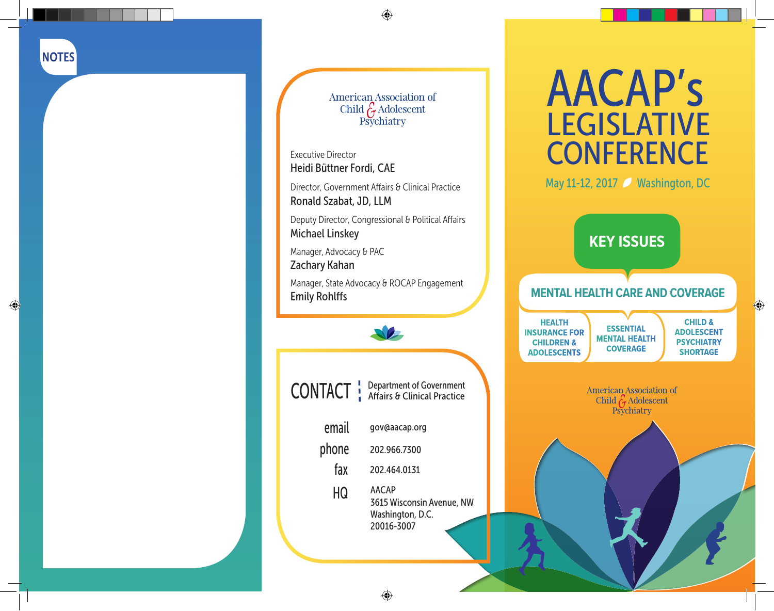$\bigoplus$ 

 $\bigoplus$ 

American Association of<br>Child G Adolescent<br>Psychiatry

Executive Director Heidi Büttner Fordi, CAE

Director, Government Affairs & Clinical Practice Ronald Szabat, JD, LLM

Deputy Director, Congressional & Political Affairs Michael Linskey

Manager, Advocacy & PAC Zachary Kahan

Manager, State Advocacy & ROCAP Engagement Emily Rohlffs



CONTACT | Department of Government

- email gov@aacap.org phone 202.966.7300 fax 202.464.0131
- - AACAP 3615 Wisconsin Avenue, NW Washington, D.C. 20016-3007 HQ

# AACAP's LEGISLATIVE **CONFERENCE**

May 11-12, 2017 Washington, DC



# **MENTAL HEALTH CARE AND COVERAGE**

**HEALTH INSURANCE FOR CHILDREN & ADOLESCENTS**

**ESSENTIAL MENTAL HEALTH COVERAGE CHILD & ADOLESCENT PSYCHIATRY SHORTAGE**

 $\bigoplus$ 

**American Association of** Child  $\mathcal{E}_{\tau}$  Adolescent Psychiatry